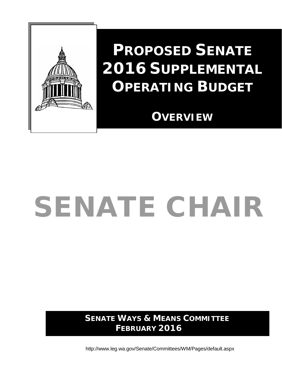

# **PROPOSED SENATE 2016 SUPPLEMENTAL OPERATING BUDGET**

**OVERVIEW**

# SENATE CHAIR

**SENATE WAYS & MEANS COMMITTEE FEBRUARY 2016**

<http://www.leg.wa.gov/Senate/Committees/WM/Pages/default.aspx>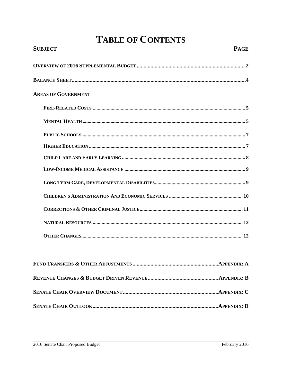# **TABLE OF CONTENTS**

| <b>SUBJECT</b>             | <b>PAGE</b> |
|----------------------------|-------------|
|                            |             |
|                            |             |
| <b>AREAS OF GOVERNMENT</b> |             |
|                            |             |
|                            |             |
|                            |             |
|                            |             |
|                            |             |
|                            |             |
|                            |             |
|                            |             |
|                            |             |
|                            |             |
|                            |             |
|                            |             |
|                            |             |
|                            |             |
|                            |             |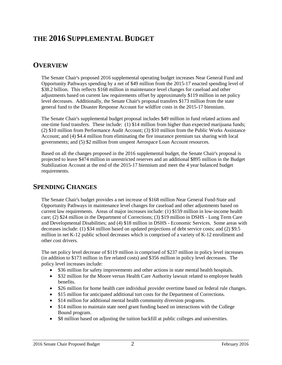# **THE 2016 SUPPLEMENTAL BUDGET**

# **OVERVIEW**

The Senate Chair's proposed 2016 supplemental operating budget increases Near General Fund and Opportunity Pathways spending by a net of \$49 million from the 2015-17 enacted spending level of \$38.2 billion. This reflects \$168 million in maintenance level changes for caseload and other adjustments based on current law requirements offset by approximately \$119 million in net policy level decreases. Additionally, the Senate Chair's proposal transfers \$173 million from the state general fund to the Disaster Response Account for wildfire costs in the 2015-17 biennium.

The Senate Chair's supplemental budget proposal includes \$49 million in fund related actions and one-time fund transfers. These include: (1) \$14 million from higher than expected marijuana funds; (2) \$10 million from Performance Audit Account; (3) \$10 million from the Public Works Assistance Account; and (4) \$4.4 million from eliminating the fire insurance premium tax sharing with local governments; and (5) \$2 million from unspent Aerospace Loan Account resources.

Based on all the changes proposed in the 2016 supplemental budget, the Senate Chair's proposal is projected to leave \$474 million in unrestricted reserves and an additional \$895 million in the Budget Stabilization Account at the end of the 2015-17 biennium and meet the 4 year balanced budget requirements.

# **SPENDING CHANGES**

The Senate Chair's budget provides a net increase of \$168 million Near General Fund-State and Opportunity Pathways in maintenance level changes for caseload and other adjustments based on current law requirements. Areas of major increases include: (1) \$159 million in low-income health care; (2) \$24 million in the Department of Corrections; (3) \$19 million in DSHS - Long Term Care and Developmental Disabilities; and (4) \$18 million in DSHS - Economic Services. Some areas with decreases include: (1) \$34 million based on updated projections of debt service costs; and (2) \$9.5 million in net K-12 public school decreases which is comprised of a variety of K-12 enrollment and other cost drivers.

The net policy level decrease of \$119 million is comprised of \$237 million in policy level increases (in addition to \$173 million in fire related costs) and \$356 million in policy level decreases. The policy level increases include:

- \$36 million for safety improvements and other actions in state mental health hospitals.
- \$32 million for the Moore versus Health Care Authority lawsuit related to employee health benefits.
- \$26 million for home health care individual provider overtime based on federal rule changes.
- \$15 million for anticipated additional tort costs for the Department of Corrections.
- \$14 million for additional mental health community diversion programs.
- \$14 million to maintain state need grant funding based on interactions with the College Bound program.
- \$8 million based on adjusting the tuition backfill at public colleges and universities.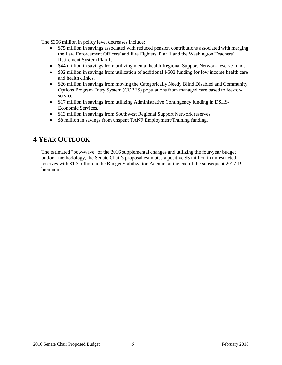The \$356 million in policy level decreases include:

- \$75 million in savings associated with reduced pension contributions associated with merging the Law Enforcement Officers' and Fire Fighters' Plan 1 and the Washington Teachers' Retirement System Plan 1.
- \$44 million in savings from utilizing mental health Regional Support Network reserve funds.
- \$32 million in savings from utilization of additional I-502 funding for low income health care and health clinics.
- \$26 million in savings from moving the Categorically Needy Blind Disabled and Community Options Program Entry System (COPES) populations from managed care based to fee-forservice.
- \$17 million in savings from utilizing Administrative Contingency funding in DSHS-Economic Services.
- \$13 million in savings from Southwest Regional Support Network reserves.
- \$8 million in savings from unspent TANF Employment/Training funding.

# **4 YEAR OUTLOOK**

The estimated "bow-wave" of the 2016 supplemental changes and utilizing the four-year budget outlook methodology, the Senate Chair's proposal estimates a positive \$5 million in unrestricted reserves with \$1.3 billion in the Budget Stabilization Account at the end of the subsequent 2017-19 biennium.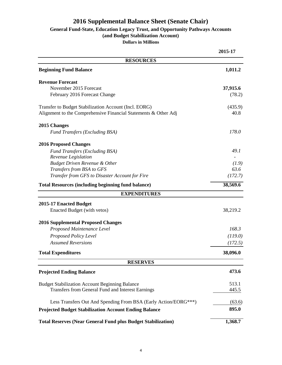# **2016 Supplemental Balance Sheet (Senate Chair)**

# **General Fund-State, Education Legacy Trust, and Opportunity Pathways Accounts**

**(and Budget Stabilization Account)**

**Dollars in Millions**

|                                                                     | 2015-17  |
|---------------------------------------------------------------------|----------|
| <b>RESOURCES</b>                                                    |          |
| <b>Beginning Fund Balance</b>                                       | 1,011.2  |
| <b>Revenue Forecast</b>                                             |          |
| November 2015 Forecast                                              | 37,915.6 |
| February 2016 Forecast Change                                       | (78.2)   |
| Transfer to Budget Stabilization Account (Incl. EORG)               | (435.9)  |
| Alignment to the Comprehensive Financial Statements & Other Adj     | 40.8     |
| 2015 Changes                                                        |          |
| <b>Fund Transfers (Excluding BSA)</b>                               | 178.0    |
| <b>2016 Proposed Changes</b>                                        |          |
| <b>Fund Transfers (Excluding BSA)</b>                               | 49.1     |
| Revenue Legislation<br><b>Budget Driven Revenue &amp; Other</b>     | (1.9)    |
| Transfers from BSA to GFS                                           | 63.6     |
| Transfer from GFS to Disaster Account for Fire                      | (172.7)  |
| <b>Total Resources (including beginning fund balance)</b>           | 38,569.6 |
| <b>EXPENDITURES</b>                                                 |          |
| 2015-17 Enacted Budget                                              |          |
| Enacted Budget (with vetos)                                         | 38,219.2 |
| <b>2016 Supplemental Proposed Changes</b>                           |          |
| Proposed Maintenance Level                                          | 168.3    |
| Proposed Policy Level                                               | (119.0)  |
| <b>Assumed Reversions</b>                                           | (172.5)  |
| <b>Total Expenditures</b>                                           | 38,096.0 |
| <b>RESERVES</b>                                                     |          |
| <b>Projected Ending Balance</b>                                     | 473.6    |
| <b>Budget Stabilization Account Beginning Balance</b>               | 513.1    |
| Transfers from General Fund and Interest Earnings                   | 445.5    |
| Less Transfers Out And Spending From BSA (Early Action/EORG***)     | (63.6)   |
| <b>Projected Budget Stabilization Account Ending Balance</b>        | 895.0    |
| <b>Total Reserves (Near General Fund plus Budget Stabilization)</b> | 1,368.7  |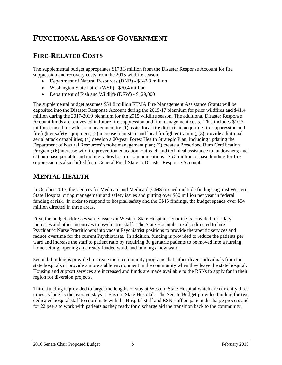# **FUNCTIONAL AREAS OF GOVERNMENT**

# **FIRE-RELATED COSTS**

The supplemental budget appropriates \$173.3 million from the Disaster Response Account for fire suppression and recovery costs from the 2015 wildfire season:

- Department of Natural Resources (DNR) \$142.3 million
- Washington State Patrol (WSP) \$30.4 million
- Department of Fish and Wildlife (DFW) \$129,000

The supplemental budget assumes \$54.8 million FEMA Fire Management Assistance Grants will be deposited into the Disaster Response Account during the 2015-17 biennium for prior wildfires and \$41.4 million during the 2017-2019 biennium for the 2015 wildfire season. The additional Disaster Response Account funds are reinvested in future fire suppression and fire management costs. This includes \$10.3 million is used for wildfire management to: (1) assist local fire districts in acquiring fire suppression and firefighter safety equipment; (2) increase joint state and local firefighter training; (3) provide additional aerial attack capabilities; (4) develop a 20-year Forest Health Strategic Plan, including updating the Department of Natural Resources' smoke management plan; (5) create a Prescribed Burn Certification Program; (6) increase wildfire prevention education, outreach and technical assistance to landowners; and (7) purchase portable and mobile radios for fire communications. \$5.5 million of base funding for fire suppression is also shifted from General Fund-State to Disaster Response Account.

# **MENTAL HEALTH**

In October 2015, the Centers for Medicare and Medicaid (CMS) issued multiple findings against Western State Hospital citing management and safety issues and putting over \$60 million per year in federal funding at risk. In order to respond to hospital safety and the CMS findings, the budget spends over \$54 million directed in three areas.

First, the budget addresses safety issues at Western State Hospital. Funding is provided for salary increases and other incentives to psychiatric staff. The State Hospitals are also directed to hire Psychiatric Nurse Practitioners into vacant Psychiatrist positions to provide therapeutic services and reduce overtime for the current Psychiatrists. In addition, funding is provided to reduce the patients per ward and increase the staff to patient ratio by requiring 30 geriatric patients to be moved into a nursing home setting, opening an already funded ward, and funding a new ward.

Second, funding is provided to create more community programs that either divert individuals from the state hospitals or provide a more stable environment in the community when they leave the state hospital. Housing and support services are increased and funds are made available to the RSNs to apply for in their region for diversion projects.

Third, funding is provided to target the lengths of stay at Western State Hospital which are currently three times as long as the average stays at Eastern State Hospital. The Senate Budget provides funding for two dedicated hospital staff to coordinate with the Hospital staff and RSN staff on patient discharge process and for 22 peers to work with patients as they ready for discharge aid the transition back to the community.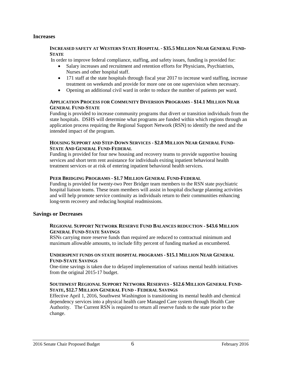#### **Increases**

#### **INCREASED SAFETY AT WESTERN STATE HOSPITAL - \$35.5 MILLION NEAR GENERAL FUND-STATE**

In order to improve federal compliance, staffing, and safety issues, funding is provided for:

- Salary increases and recruitment and retention efforts for Physicians, Psychiatrists, Nurses and other hospital staff.
- 171 staff at the state hospitals through fiscal year 2017 to increase ward staffing, increase treatment on weekends and provide for more one on one supervision when necessary.
- Opening an additional civil ward in order to reduce the number of patients per ward.

#### **APPLICATION PROCESS FOR COMMUNITY DIVERSION PROGRAMS - \$14.1 MILLION NEAR GENERAL FUND-STATE**

Funding is provided to increase community programs that divert or transition individuals from the state hospitals. DSHS will determine what programs are funded within which regions through an application process requiring the Regional Support Network (RSN) to identify the need and the intended impact of the program.

#### **HOUSING SUPPORT AND STEP-DOWN SERVICES - \$2.8 MILLION NEAR GENERAL FUND-STATE AND GENERAL FUND-FEDERAL**

Funding is provided for four new housing and recovery teams to provide supportive housing services and short term rent assistance for individuals exiting inpatient behavioral health treatment services or at risk of entering inpatient behavioral health services.

#### **PEER BRIDGING PROGRAMS - \$1.7 MILLION GENERAL FUND-FEDERAL**

Funding is provided for twenty-two Peer Bridger team members to the RSN state psychiatric hospital liaison teams. These team members will assist in hospital discharge planning activities and will help promote service continuity as individuals return to their communities enhancing long-term recovery and reducing hospital readmissions.

#### **Savings or Decreases**

#### **REGIONAL SUPPORT NETWORK RESERVE FUND BALANCES REDUCTION - \$43.6 MILLION GENERAL FUND-STATE SAVINGS**

RSNs carrying more reserve funds than required are reduced to contractual minimum and maximum allowable amounts, to include fifty percent of funding marked as encumbered.

#### **UNDERSPENT FUNDS ON STATE HOSPITAL PROGRAMS - \$15.1 MILLION NEAR GENERAL FUND-STATE SAVINGS**

One-time savings is taken due to delayed implementation of various mental health initiatives from the original 2015-17 budget.

#### **SOUTHWEST REGIONAL SUPPORT NETWORK RESERVES - \$12.6 MILLION GENERAL FUND-STATE, \$12.7 MILLION GENERAL FUND - FEDERAL SAVINGS**

Effective April 1, 2016, Southwest Washington is transitioning its mental health and chemical dependency services into a physical health care Managed Care system through Health Care Authority. The Current RSN is required to return all reserve funds to the state prior to the change.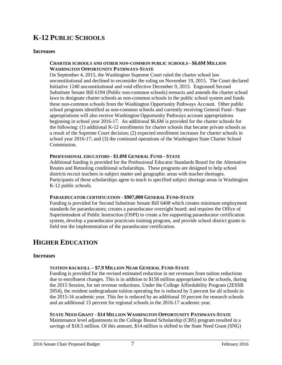# **K-12 PUBLIC SCHOOLS**

#### **Increases**

#### **CHARTER SCHOOLS AND OTHER NON-COMMON PUBLIC SCHOOLS - \$6.6M MILLION WASHINGTON OPPORTUNITY PATHWAYS-STATE**

On September 4, 2015, the Washington Supreme Court ruled the charter school law unconstitutional and declined to reconsider the ruling on November 19, 2015. The Court declared Initiative 1240 unconstitutional and void effective December 9, 2015. Engrossed Second Substitute Senate Bill 6194 (Public non-common schools) reenacts and amends the charter school laws to designate charter schools as non-common schools in the public school system and funds these non-common schools from the Washington Opportunity Pathways Account. Other public school programs identified as non-common schools and currently receiving General Fund - State appropriations will also receive Washington Opportunity Pathways account appropriations beginning in school year 2016-17. An additional \$6.6M is provided for the charter schools for the following: (1) additional K-12 enrollments for charter schools that became private schools as a result of the Supreme Court decision; (2) expected enrollment increases for charter schools in school year 2016-17; and (3) the continued operations of the Washington State Charter School Commission.

#### **PROFESSIONAL EDUCATORS - \$1.0M GENERAL FUND - STATE**

Additional funding is provided for the Professional Educator Standards Board for the Alternative Routes and Retooling conditional scholarships. These programs are designed to help school districts recruit teachers in subject matter and geographic areas with teacher shortages. Participants of these scholarships agree to teach in specified subject shortage areas in Washington K-12 public schools.

#### **PARAEDUCATOR CERTIFICATION - \$907,000 GENERAL FUND-STATE**

Funding is provided for Second Substitute Senate Bill 6408 which creates minimum employment standards for paraeducators; creates a paraeducator oversight board; and requires the Office of Superintendent of Public Instruction (OSPI) to create a fee supporting paraeducator certification system, develop a paraeducator practicum training program, and provide school district grants to field test the implementation of the paraeducator certification.

### **HIGHER EDUCATION**

#### **Increases**

#### **TUITION BACKFILL – \$7.9 MILLION NEAR GENERAL FUND-STATE**

Funding is provided for the revised estimated reduction in net revenues from tuition reductions due to enrollment changes. This is in addition to \$158 million appropriated to the schools, during the 2015 Session, for net revenue reductions. Under the College Affordability Program (2ESSB 5954), the resident undergraduate tuition operating fee is reduced by 5 percent for all schools in the 2015-16 academic year. This fee is reduced by an additional 10 percent for research schools and an additional 15 percent for regional schools in the 2016-17 academic year.

#### **STATE NEED GRANT - \$14 MILLION WASHINGTON OPPORTUNITY PATHWAYS-STATE**

Maintenance level adjustments in the College Bound Scholarship (CBS) program resulted in a savings of \$18.5 million. Of this amount, \$14 million is shifted to the State Need Grant (SNG)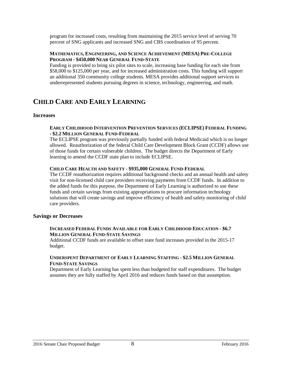program for increased costs, resulting from maintaining the 2015 service level of serving 70 percent of SNG applicants and increased SNG and CBS coordination of 95 percent.

#### **MATHEMATICS, ENGINEERING, AND SCIENCE ACHIEVEMENT (MESA) PRE-COLLEGE PROGRAM - \$450,000 NEAR GENERAL FUND-STATE**

Funding is provided to bring six pilot sites to scale, increasing base funding for each site from \$58,000 to \$125,000 per year, and for increased administration costs. This funding will support an additional 350 community college students. MESA provides additional support services to underrepresented students pursuing degrees in science, technology, engineering, and math.

### **CHILD CARE AND EARLY LEARNING**

#### **Increases**

#### **EARLY CHILDHOOD INTERVENTION PREVENTION SERVICES (ECLIPSE) FEDERAL FUNDING - \$2.2 MILLION GENERAL FUND-FEDERAL**

The ECLIPSE program was previously partially funded with federal Medicaid which is no longer allowed. Reauthorization of the federal Child Care Development Block Grant (CCDF) allows use of those funds for certain vulnerable children. The budget directs the Department of Early learning to amend the CCDF state plan to include ECLIPSE.

#### **CHILD CARE HEALTH AND SAFETY - \$935,000 GENERAL FUND-FEDERAL**

The CCDF reauthorization requires additional background checks and an annual health and safety visit for non-licensed child care providers receiving payments from CCDF funds. In addition to the added funds for this purpose, the Department of Early Learning is authorized to use these funds and certain savings from existing appropriations to procure information technology solutions that will create savings and improve efficiency of health and safety monitoring of child care providers.

#### **Savings or Decreases**

#### **INCREASED FEDERAL FUNDS AVAILABLE FOR EARLY CHILDHOOD EDUCATION - \$6.7 MILLION GENERAL FUND-STATE SAVINGS**

Additional CCDF funds are available to offset state fund increases provided in the 2015-17 budget.

#### **UNDERSPENT DEPARTMENT OF EARLY LEARNING STAFFING - \$2.5 MILLION GENERAL FUND-STATE SAVINGS**

Department of Early Learning has spent less than budgeted for staff expenditures. The budget assumes they are fully staffed by April 2016 and reduces funds based on that assumption.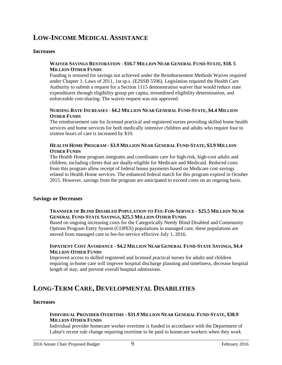# **LOW-INCOME MEDICAL ASSISTANCE**

#### **Increases**

#### **WAIVER SAVINGS RESTORATION - \$16.7 MILLION NEAR GENERAL FUND-STATE, \$18. 5 MILLION OTHER FUNDS**

Funding is restored for savings not achieved under the Reimbursement Methods Waiver required under Chapter 1, Laws of 2011, 1st sp.s. (E2SSB 5596). Legislation required the Health Care Authority to submit a request for a Section 1115 demonstration waiver that would reduce state expenditures through eligibility group per capita, streamlined eligibility determination, and enforceable cost-sharing. The waiver request was not approved.

#### **NURSING RATE INCREASES - \$4.2 MILLION NEAR GENERAL FUND-STATE, \$4.4 MILLION OTHER FUNDS**

The reimbursement rate for licensed practical and registered nurses providing skilled home health services and home services for both medically intensive children and adults who require four to sixteen hours of care is increased by \$10.

#### **HEALTH HOME PROGRAM - \$3.9 MILLION NEAR GENERAL FUND-STATE, \$3.9 MILLION OTHER FUNDS**

The Health Home program integrates and coordinates care for high-risk, high-cost adults and children, including clients that are dually-eligible for Medicare and Medicaid. Reduced costs from this program allow receipt of federal bonus payments based on Medicare cost savings related to Health Home services. The enhanced federal match for this program expired in October 2015. However, savings from the program are anticipated to exceed costs on an ongoing basis.

#### **Savings or Decreases**

#### **TRANSFER OF BLIND DISABLED POPULATION TO FEE-FOR-SERVICE - \$25.5 MILLION NEAR GENERAL FUND-STATE SAVINGS, \$25.5 MILLION OTHER FUNDS**

Based on ongoing increasing costs for the Categorically Needy Blind Disabled and Community Options Program Entry System (COPES) populations in managed care, these populations are moved from managed care to fee-for-service effective July 1, 2016.

#### **INPATIENT COST AVOIDANCE - \$4.2 MILLION NEAR GENERAL FUND-STATE SAVINGS, \$4.4 MILLION OTHER FUNDS**

Improved access to skilled registered and licensed practical nurses for adults and children requiring in-home care will improve hospital discharge planning and timeliness, decrease hospital length of stay, and prevent overall hospital admissions.

# **LONG-TERM CARE, DEVELOPMENTAL DISABILITIES**

#### **Increases**

#### **INDIVIDUAL PROVIDER OVERTIME - \$31.9 MILLION NEAR GENERAL FUND-STATE, \$38.9 MILLION OTHER FUNDS**

Individual provider homecare worker overtime is funded in accordance with the Department of Labor's recent rule change requiring overtime to be paid to homecare workers when they work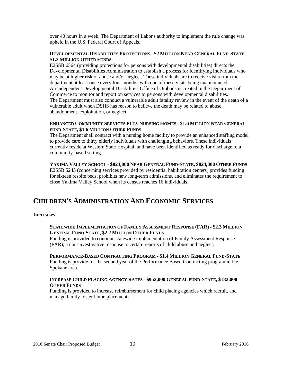over 40 hours in a week. The Department of Labor's authority to implement the rule change was upheld in the U.S. Federal Court of Appeals.

#### **DEVELOPMENTAL DISABILITIES PROTECTIONS - \$2 MILLION NEAR GENERAL FUND-STATE, \$1.3 MILLION OTHER FUNDS**

E2SSB 6564 (providing protections for persons with developmental disabilities) directs the Developmental Disabilities Administration to establish a process for identifying individuals who may be at higher risk of abuse and/or neglect. These individuals are to receive visits from the department at least once every four months, with one of these visits being unannounced. An independent Developmental Disabilities Office of Ombuds is created in the Department of Commerce to monitor and report on services to persons with developmental disabilities. The Department must also conduct a vulnerable adult fatality review in the event of the death of a vulnerable adult when DSHS has reason to believe the death may be related to abuse, abandonment, exploitation, or neglect.

#### **ENHANCED COMMUNITY SERVICES PLUS-NURSING HOMES - \$1.6 MILLION NEAR GENERAL FUND-STATE, \$1.6 MILLION OTHER FUNDS**

The Department shall contract with a nursing home facility to provide an enhanced staffing model to provide care to thirty elderly individuals with challenging behaviors. These individuals currently reside at Western State Hospital, and have been identified as ready for discharge to a community-based setting.

#### **YAKIMA VALLEY SCHOOL - \$824,000 NEAR GENERAL FUND-STATE, \$824,000 OTHER FUNDS**

E2SSB 5243 (concerning services provided by residential habilitation centers) provides funding for sixteen respite beds, prohibits new long-term admissions, and eliminates the requirement to close Yakima Valley School when its census reaches 16 individuals.

# **CHILDREN'S ADMINISTRATION AND ECONOMIC SERVICES**

#### **Increases**

#### **STATEWIDE IMPLEMENTATION OF FAMILY ASSESSMENT RESPONSE (FAR) - \$2.3 MILLION GENERAL FUND-STATE, \$2.2 MILLION OTHER FUNDS**

Funding is provided to continue statewide implementation of Family Assessment Response (FAR), a non-investigative response to certain reports of child abuse and neglect.

**PERFORMANCE-BASED CONTRACTING PROGRAM - \$1.4 MILLION GENERAL FUND-STATE** Funding is provide for the second year of the Performance Based Contracting program in the Spokane area.

#### **INCREASE CHILD PLACING AGENCY RATES - \$952,000 GENERAL FUND-STATE, \$182,000 OTHER FUNDS**

Funding is provided to increase reimbursement for child placing agencies which recruit, and manage family foster home placements.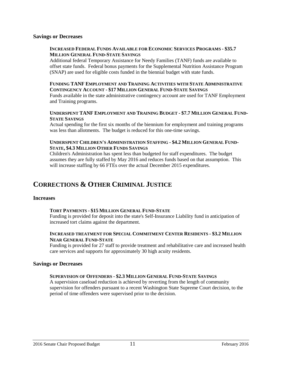#### **Savings or Decreases**

#### **INCREASED FEDERAL FUNDS AVAILABLE FOR ECONOMIC SERVICES PROGRAMS - \$35.7 MILLION GENERAL FUND-STATE SAVINGS**

Additional federal Temporary Assistance for Needy Families (TANF) funds are available to offset state funds. Federal bonus payments for the Supplemental Nutrition Assistance Program (SNAP) are used for eligible costs funded in the biennial budget with state funds.

#### **FUNDING TANF EMPLOYMENT AND TRAINING ACTIVITIES WITH STATE ADMINISTRATIVE CONTINGENCY ACCOUNT - \$17 MILLION GENERAL FUND-STATE SAVINGS**

Funds available in the state administrative contingency account are used for TANF Employment and Training programs.

#### **UNDERSPENT TANF EMPLOYMENT AND TRAINING BUDGET - \$7.7 MILLION GENERAL FUND-STATE SAVINGS**

Actual spending for the first six months of the biennium for employment and training programs was less than allotments. The budget is reduced for this one-time savings.

#### **UNDERSPENT CHILDREN'S ADMINISTRATION STAFFING - \$4.2 MILLION GENERAL FUND-STATE, \$4.3 MILLION OTHER FUNDS SAVINGS**

Children's Administration has spent less than budgeted for staff expenditures. The budget assumes they are fully staffed by May 2016 and reduces funds based on that assumption. This will increase staffing by 66 FTEs over the actual December 2015 expenditures.

# **CORRECTIONS & OTHER CRIMINAL JUSTICE**

#### **Increases**

#### **TORT PAYMENTS - \$15 MILLION GENERAL FUND-STATE**

Funding is provided for deposit into the state's Self-Insurance Liability fund in anticipation of increased tort claims against the department.

#### **INCREASED TREATMENT FOR SPECIAL COMMITMENT CENTER RESIDENTS - \$3.2 MILLION NEAR GENERAL FUND-STATE**

Funding is provided for 27 staff to provide treatment and rehabilitative care and increased health care services and supports for approximately 30 high acuity residents.

#### **Savings or Decreases**

#### **SUPERVISION OF OFFENDERS - \$2.3 MILLION GENERAL FUND-STATE SAVINGS**

A supervision caseload reduction is achieved by reverting from the length of community supervision for offenders pursuant to a recent Washington State Supreme Court decision, to the period of time offenders were supervised prior to the decision.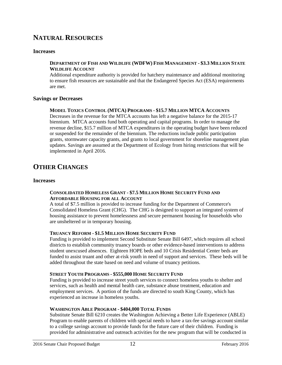# **NATURAL RESOURCES**

#### **Increases**

#### **DEPARTMENT OF FISH AND WILDLIFE (WDFW) FISH MANAGEMENT - \$3.3 MILLION STATE WILDLIFE ACCOUNT**

Additional expenditure authority is provided for hatchery maintenance and additional monitoring to ensure fish resources are sustainable and that the Endangered Species Act (ESA) requirements are met.

#### **Savings or Decreases**

#### **MODEL TOXICS CONTROL (MTCA) PROGRAMS - \$15.7 MILLION MTCA ACCOUNTS**

Decreases in the revenue for the MTCA accounts has left a negative balance for the 2015-17 biennium. MTCA accounts fund both operating and capital programs. In order to manage the revenue decline, \$15.7 million of MTCA expenditures in the operating budget have been reduced or suspended for the remainder of the biennium. The reductions include public participation grants, stormwater capacity grants, and grants to local government for shoreline management plan updates. Savings are assumed at the Department of Ecology from hiring restrictions that will be implemented in April 2016.

# **OTHER CHANGES**

#### **Increases**

#### **CONSOLIDATED HOMELESS GRANT - \$7.5 MILLION HOME SECURITY FUND AND AFFORDABLE HOUSING FOR ALL ACCOUNT**

A total of \$7.5 million is provided to increase funding for the Department of Commerce's Consolidated Homeless Grant (CHG). The CHG is designed to support an integrated system of housing assistance to prevent homelessness and secure permanent housing for households who are unsheltered or in temporary housing.

#### **TRUANCY REFORM - \$1.5 MILLION HOME SECURITY FUND**

Funding is provided to implement Second Substitute Senate Bill 6497, which requires all school districts to establish community truancy boards or other evidence-based interventions to address student unexcused absences. Eighteen HOPE beds and 10 Crisis Residential Center beds are funded to assist truant and other at-risk youth in need of support and services. These beds will be added throughout the state based on need and volume of truancy petitions.

#### **STREET YOUTH PROGRAMS - \$555,000 HOME SECURITY FUND**

Funding is provided to increase street youth services to connect homeless youths to shelter and services, such as health and mental health care, substance abuse treatment, education and employment services. A portion of the funds are directed to south King County, which has experienced an increase in homeless youths.

#### **WASHINGTON ABLE PROGRAM - \$404,000 TOTAL FUNDS**

Substitute Senate Bill 6210 creates the Washington Achieving a Better Life Experience (ABLE) Program to enable parents of children with special needs to have a tax-fee savings account similar to a college savings account to provide funds for the future care of their children. Funding is provided for administrative and outreach activities for the new program that will be conducted in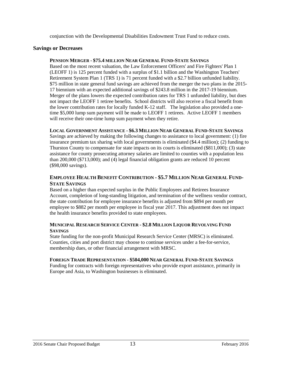conjunction with the Developmental Disabilities Endowment Trust Fund to reduce costs.

#### **Savings or Decreases**

#### **PENSION MERGER - \$75.4 MILLION NEAR GENERAL FUND-STATE SAVINGS**

Based on the most recent valuation, the Law Enforcement Officers' and Fire Fighters' Plan 1 (LEOFF 1) is 125 percent funded with a surplus of \$1.1 billion and the Washington Teachers' Retirement System Plan 1 (TRS 1) is 71 percent funded with a \$2.7 billion unfunded liability. \$75 million in state general fund savings are achieved from the merger the two plans in the 2015- 17 biennium with an expected additional savings of \$243.8 million in the 2017-19 biennium. Merger of the plans lowers the expected contribution rates for TRS 1 unfunded liability, but does not impact the LEOFF 1 retiree benefits. School districts will also receive a fiscal benefit from the lower contribution rates for locally funded K-12 staff. The legislation also provided a onetime \$5,000 lump sum payment will be made to LEOFF 1 retirees. Active LEOFF 1 members will receive their one-time lump sum payment when they retire.

#### **LOCAL GOVERNMENT ASSISTANCE - \$6.3 MILLION NEAR GENERAL FUND-STATE SAVINGS**

Savings are achieved by making the following changes to assistance to local government: (1) fire insurance premium tax sharing with local governments is eliminated (\$4.4 million); (2) funding to Thurston County to compensate for state impacts on its courts is eliminated (\$811,000); (3) state assistance for county prosecuting attorney salaries are limited to counties with a population less than 200,000 (\$713,000); and (4) legal financial obligation grants are reduced 10 percent (\$98,000 savings).

#### **EMPLOYEE HEALTH BENEFIT CONTRIBUTION - \$5.7 MILLION NEAR GENERAL FUND-STATE SAVINGS**

Based on a higher than expected surplus in the Public Employees and Retirees Insurance Account, completion of long-standing litigation, and termination of the wellness vendor contract, the state contribution for employee insurance benefits is adjusted from \$894 per month per employee to \$882 per month per employee in fiscal year 2017. This adjustment does not impact the health insurance benefits provided to state employees.

#### **MUNICIPAL RESEARCH SERVICE CENTER - \$2.8 MILLION LIQUOR REVOLVING FUND SAVINGS**

State funding for the non-profit Municipal Research Service Center (MRSC) is eliminated. Counties, cities and port district may choose to continue services under a fee-for-service, membership dues, or other financial arrangement with MRSC.

#### **FOREIGN TRADE REPRESENTATION - \$504,000 NEAR GENERAL FUND-STATE SAVINGS**

Funding for contracts with foreign representatives who provide export assistance, primarily in Europe and Asia, to Washington businesses is eliminated.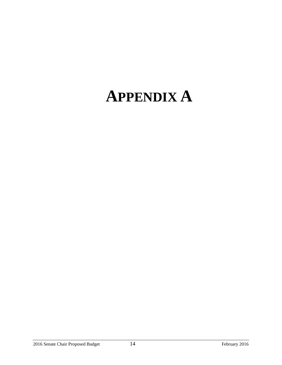# **APPENDIX A**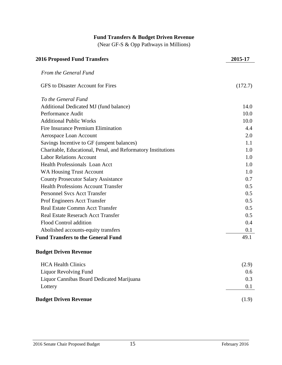# **Fund Transfers & Budget Driven Revenue** (Near GF-S & Opp Pathways in Millions) **2016 Proposed Fund Transfers 2015-17** *From the General Fund* GFS to Disaster Account for Fires (172.7) *To the General Fund* Additional Dedicated MJ (fund balance) 14.0 Performance Audit 10.0 Additional Public Works 10.0 Fire Insurance Premium Elimination 4.4 Aerospace Loan Account 2.0 Savings Incentive to GF (unspent balances) 1.1 Charitable, Educational, Penal, and Reformatory Institutions 1.0 Labor Relations Account 1.0 Health Professionals Loan Acct 1.0 WA Housing Trust Account 1.0 County Prosecutor Salary Assistance 0.7 Health Professions Account Transfer 0.5 Personnel Svcs Acct Transfer 0.5 Prof Engineers Acct Transfer 0.5 Real Estate Commn Acct Transfer 0.5 Real Estate Reserach Acct Transfer 0.5 Flood Control addition 6.4 Abolished accounts-equity transfers 0.1 **Fund Transfers to the General Fund** 49.1

#### **Budget Driven Revenue**

| <b>Budget Driven Revenue</b>              | (1.9) |
|-------------------------------------------|-------|
| Lottery                                   | 0.1   |
| Liquor Cannibas Board Dedicated Marijuana | 0.3   |
| Liquor Revolving Fund                     | 0.6   |
| <b>HCA Health Clinics</b>                 | (2.9) |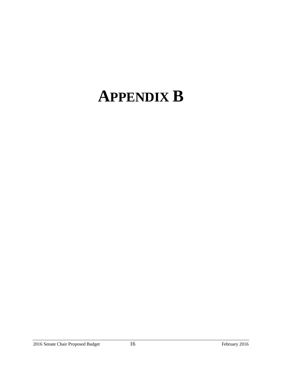# **APPENDIX B**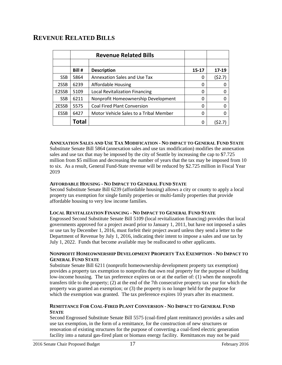# **REVENUE RELATED BILLS**

|             |        | <b>Revenue Related Bills</b>           |       |        |
|-------------|--------|----------------------------------------|-------|--------|
|             |        |                                        |       |        |
|             | Bill # | <b>Description</b>                     | 15-17 | 17-19  |
| <b>SSB</b>  | 5864   | <b>Annexation Sales and Use Tax</b>    | 0     | (52.7) |
| 2SSB        | 6239   | Affordable Housing                     | 0     | 0      |
| E2SSB       | 5109   | Local Revitalization Financing         | 0     | 0      |
| <b>SSB</b>  | 6211   | Nonprofit Homeownership Development    | 0     | 0      |
| 2ESSB       | 5575   | <b>Coal Fired Plant Conversion</b>     | 0     | 0      |
| <b>ESSB</b> | 6427   | Motor Vehicle Sales to a Tribal Member | 0     |        |
|             | Total  |                                        | 0     |        |

#### **ANNEXATION SALES AND USE TAX MODIFICATION - NO IMPACT TO GENERAL FUND STATE**

Substitute Senate Bill 5864 (annexation sales and use tax modification) modifies the annexation sales and use tax that may be imposed by the city of Seattle by increasing the cap to \$7.725 million from \$5 million and decreasing the number of years that the tax may be imposed from 10 to six. As a result, General Fund-State revenue will be reduced by \$2.725 million in Fiscal Year 2019

#### **AFFORDABLE HOUSING - NO IMPACT TO GENERAL FUND STATE**

Second Substitute Senate Bill 6239 (affordable housing) allows a city or county to apply a local property tax exemption for single family properties or multi-family properties that provide affordable housing to very low income families.

#### **LOCAL REVITALIZATION FINANCING - NO IMPACT TO GENERAL FUND STATE**

Engrossed Second Substitute Senate Bill 5109 (local revitalization financing) provides that local governments approved for a project award prior to January 1, 2011, but have not imposed a sales or use tax by December 1, 2016, must forfeit their project award unless they send a letter to the Department of Revenue by July 1, 2016, indicating their intent to impose a sales and use tax by July 1, 2022. Funds that become available may be reallocated to other applicants.

#### **NONPROFIT HOMEOWNERSHIP DEVELOPMENT PROPERTY TAX EXEMPTION - NO IMPACT TO GENERAL FUND STATE**

Substitute Senate Bill 6211 (nonprofit homeownership development property tax exemption) provides a property tax exemption to nonprofits that own real property for the purpose of building low-income housing. The tax preference expires on or at the earlier of: (1) when the nonprofit transfers title to the property; (2) at the end of the 7th consecutive property tax year for which the property was granted an exemption; or (3) the property is no longer held for the purpose for which the exemption was granted. The tax preference expires 10 years after its enactment.

#### **REMITTANCE FOR COAL-FIRED PLANT CONVERSION - NO IMPACT TO GENERAL FUND STATE**

Second Engrossed Substitute Senate Bill 5575 (coal-fired plant remittance) provides a sales and use tax exemption, in the form of a remittance, for the construction of new structures or renovation of existing structures for the purpose of converting a coal-fired electric generation facility into a natural gas-fired plant or biomass energy facility. Remittances may not be paid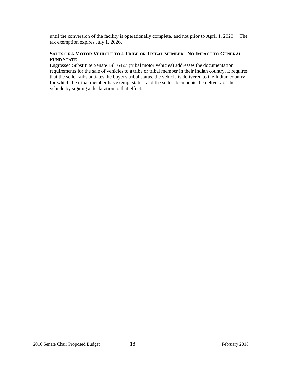until the conversion of the facility is operationally complete, and not prior to April 1, 2020. The tax exemption expires July 1, 2026.

#### **SALES OF A MOTOR VEHICLE TO A TRIBE OR TRIBAL MEMBER - NO IMPACT TO GENERAL FUND STATE**

Engrossed Substitute Senate Bill 6427 (tribal motor vehicles) addresses the documentation requirements for the sale of vehicles to a tribe or tribal member in their Indian country. It requires that the seller substantiates the buyer's tribal status, the vehicle is delivered to the Indian country for which the tribal member has exempt status, and the seller documents the delivery of the vehicle by signing a declaration to that effect.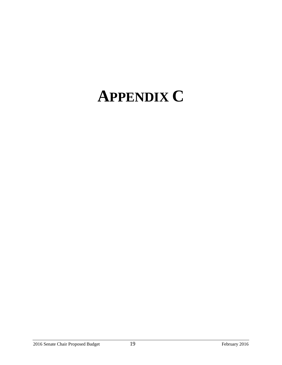# **APPENDIX C**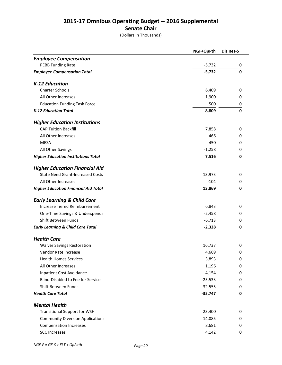### **2015-17 Omnibus Operating Budget -- 2016 Supplemental Senate Chair**

(Dollars In Thousands)

|                                              | NGF+OpPth | Dis Res-S |
|----------------------------------------------|-----------|-----------|
| <b>Employee Compensation</b>                 |           |           |
| <b>PEBB Funding Rate</b>                     | $-5,732$  | 0         |
| <b>Employee Compensation Total</b>           | $-5,732$  | 0         |
| K-12 Education                               |           |           |
| <b>Charter Schools</b>                       | 6,409     | 0         |
| All Other Increases                          | 1,900     | 0         |
| <b>Education Funding Task Force</b>          | 500       | 0         |
| <b>K-12 Education Total</b>                  | 8,809     | 0         |
| <b>Higher Education Institutions</b>         |           |           |
| <b>CAP Tuition Backfill</b>                  | 7,858     | 0         |
| All Other Increases                          | 466       | 0         |
| <b>MESA</b>                                  | 450       | 0         |
| All Other Savings                            | $-1,258$  | 0         |
| <b>Higher Education Institutions Total</b>   | 7,516     | 0         |
| <b>Higher Education Financial Aid</b>        |           |           |
| <b>State Need Grant-Increased Costs</b>      | 13,973    | 0         |
| All Other Increases                          | $-104$    | 0         |
| <b>Higher Education Financial Aid Total</b>  | 13,869    | 0         |
| <b>Early Learning &amp; Child Care</b>       |           |           |
| <b>Increase Tiered Reimbursement</b>         | 6,843     | 0         |
| One-Time Savings & Underspends               | $-2,458$  | 0         |
| Shift Between Funds                          | $-6,713$  | 0         |
| <b>Early Learning &amp; Child Care Total</b> | $-2,328$  | 0         |
| <b>Health Care</b>                           |           |           |
| <b>Waiver Savings Restoration</b>            | 16,737    | 0         |
| Vendor Rate Increase                         | 4,669     | 0         |
| <b>Health Homes Services</b>                 | 3,893     | 0         |
| All Other Increases                          | 1,196     | 0         |
| Inpatient Cost Avoidance                     | $-4,154$  | 0         |
| Blind-Disabled to Fee for Service            | $-25,533$ | 0         |
| Shift Between Funds                          | $-32,555$ | 0         |
| <b>Health Care Total</b>                     | $-35,747$ | 0         |
| <b>Mental Health</b>                         |           |           |
| <b>Transitional Support for WSH</b>          | 23,400    | 0         |
| <b>Community Diversion Applications</b>      | 14,085    | 0         |
| <b>Compensation Increases</b>                | 8,681     | 0         |
| <b>SCC Increases</b>                         | 4,142     | 0         |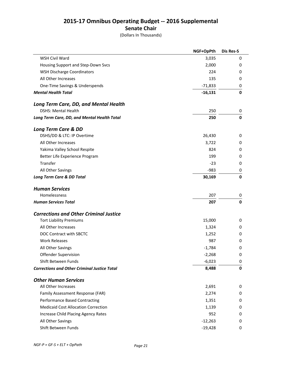### **2015-17 Omnibus Operating Budget -- 2016 Supplemental Senate Chair**

(Dollars In Thousands)

|                                                     | NGF+OpPth | Dis Res-S |
|-----------------------------------------------------|-----------|-----------|
| <b>WSH Civil Ward</b>                               | 3,035     | 0         |
| Housing Support and Step-Down Svcs                  | 2,000     | 0         |
| <b>WSH Discharge Coordinators</b>                   | 224       | 0         |
| All Other Increases                                 | 135       | 0         |
| One-Time Savings & Underspends                      | $-71,833$ | 0         |
| <b>Mental Health Total</b>                          | $-16,131$ | 0         |
| Long Term Care, DD, and Mental Health               |           |           |
| <b>DSHS: Mental Health</b>                          | 250       | 0         |
| Long Term Care, DD, and Mental Health Total         | 250       | O         |
| <b>Long Term Care &amp; DD</b>                      |           |           |
| DSHS/DD & LTC: IP Overtime                          | 26,430    | 0         |
| All Other Increases                                 | 3,722     | 0         |
| Yakima Valley School Respite                        | 824       | 0         |
| Better Life Experience Program                      | 199       | 0         |
| Transfer                                            | $-23$     | 0         |
| All Other Savings                                   | $-983$    | 0         |
| Long Term Care & DD Total                           | 30,169    | 0         |
| <b>Human Services</b>                               |           |           |
| Homelessness                                        | 207       | 0         |
| <b>Human Services Total</b>                         | 207       | 0         |
| <b>Corrections and Other Criminal Justice</b>       |           |           |
| <b>Tort Liability Premiums</b>                      | 15,000    | 0         |
| All Other Increases                                 | 1,324     | 0         |
| DOC Contract with SBCTC                             | 1,252     | 0         |
| <b>Work Releases</b>                                | 987       | 0         |
| All Other Savings                                   | $-1,784$  | 0         |
| Offender Supervision                                | $-2,268$  | 0         |
| Shift Between Funds                                 | $-6,023$  | 0         |
| <b>Corrections and Other Criminal Justice Total</b> | 8,488     | 0         |
| <b>Other Human Services</b>                         |           |           |
| All Other Increases                                 | 2,691     | 0         |
| Family Assessment Response (FAR)                    | 2,274     | 0         |
| <b>Performance Based Contracting</b>                | 1,351     | 0         |
| <b>Medicaid Cost Allocation Correction</b>          | 1,139     | 0         |
| Increase Child Placing Agency Rates                 | 952       | 0         |
| All Other Savings                                   | $-12,263$ | 0         |
| Shift Between Funds                                 | $-19,428$ | 0         |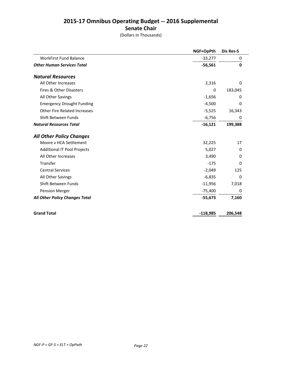### **2015-17 Omnibus Operating Budget -- 2016 Supplemental Senate Chair**

(Dollars In Thousands)

|                                     | NGF+OpPth  | <b>Dis Res-S</b> |
|-------------------------------------|------------|------------------|
| <b>WorkFirst Fund Balance</b>       | $-33,277$  | 0                |
| <b>Other Human Services Total</b>   | $-56,561$  | 0                |
| <b>Natural Resources</b>            |            |                  |
| All Other Increases                 | 2,316      | $\Omega$         |
| Fires & Other Disasters             | 0          | 183,045          |
| All Other Savings                   | $-1,656$   | 0                |
| <b>Emergency Drought Funding</b>    | $-4,500$   | 0                |
| <b>Other Fire Related Increases</b> | $-5,525$   | 16,343           |
| Shift Between Funds                 | $-6,756$   | 0                |
| <b>Natural Resources Total</b>      | $-16,121$  | 199,388          |
| <b>All Other Policy Changes</b>     |            |                  |
| Moore v HCA Settlement              | 32,225     | 17               |
| <b>Additional IT Pool Projects</b>  | 5,027      | 0                |
| All Other Increases                 | 3,490      | $\Omega$         |
| Transfer                            | $-175$     | $\Omega$         |
| <b>Central Services</b>             | $-2,049$   | 125              |
| All Other Savings                   | $-6,835$   | 0                |
| Shift Between Funds                 | $-11,956$  | 7,018            |
| Pension Merger                      | $-75,400$  | $\Omega$         |
| All Other Policy Changes Total      | $-55,673$  | 7,160            |
| <b>Grand Total</b>                  | $-118,985$ | 206,548          |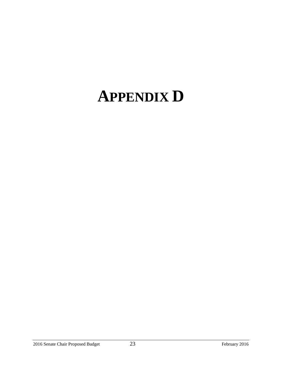# **APPENDIX D**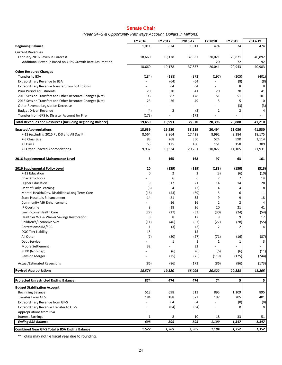#### **Senate Chair**

*(Near GF-S & Opportunity Pathways Account, Dollars in Millions)*

|                                                                                 | FY 2016      | FY 2017                  | 2015-17      | FY 2018        | FY 2019                  | 2017-19        |
|---------------------------------------------------------------------------------|--------------|--------------------------|--------------|----------------|--------------------------|----------------|
| <b>Beginning Balance</b>                                                        | 1,011        | 874                      | 1,011        | 474            | 74                       | 474            |
| <b>Current Revenues</b>                                                         |              |                          |              |                |                          |                |
| February 2016 Revenue Forecast                                                  | 18,660       | 19,178                   | 37,837       | 20,021         | 20,871                   | 40,892         |
| Additional Revenue Based on 4.5% Growth Rate Assumption                         |              |                          |              | 20             | 72                       | 92             |
|                                                                                 | 18,660       | 19,178                   | 37,837       | 20,041         | 20,943                   | 40,983         |
| <b>Other Resource Changes</b>                                                   |              |                          |              |                |                          |                |
| Transfer to BSA                                                                 | (184)        | (188)                    | (372)        | (197)          | (205)                    | (401)          |
| Extraordinary Revenue to BSA<br>Extraordinary Revenue transfer from BSA to GF-S |              | (64)<br>64               | (64)<br>64   |                | (8)<br>8                 | (8)<br>8       |
| <b>Prior Period Adjustments</b>                                                 | 20           | 20                       | 41           | 20             | 20                       | 41             |
| 2015 Session Transfers and Other Resource Changes (Net)                         | 96           | 82                       | 178          | 51             | 51                       | 101            |
| 2016 Session Transfers and Other Resource Changes (Net)                         | 23           | 26                       | 49           | 5              | 5                        | 10             |
| Other Revenue Legislation Decrease                                              |              |                          |              |                | (3)                      | (3)            |
| <b>Budget Driven Revenue</b>                                                    | (4)          | 2                        | (2)          | $\overline{2}$ | 2                        | $\overline{4}$ |
| Transfer from GFS to Disaster Account for Fire                                  | (173)        |                          | (173)        |                |                          |                |
| <b>Total Revenues and Resources (Including Beginning Balance)</b>               | 19,450       | 19,993                   | 38,570       | 20,396         | 20,888                   | 41,210         |
| <b>Enacted Appropriations</b>                                                   | 18,639       | 19,580                   | 38,219       | 20,494         | 21,036                   | 41,530         |
| K-12 (excluding 2015 PL K-3 and All Day K)                                      | 8,564        | 8,864                    | 17,428       | 8,992          | 9,184                    | 18,175         |
| K-3 Class Size                                                                  | 83           | 268                      | 350          | 524            | 590                      | 1,114          |
| All Day K                                                                       | 55           | 125                      | 180          | 151            | 158                      | 309            |
| All Other Enacted Appropriations                                                | 9,937        | 10,324                   | 20,261       | 10,827         | 11,105                   | 21,931         |
| 2016 Supplemental Maintenance Level                                             | 3            | 165                      | 168          | 97             | 63                       | 161            |
|                                                                                 |              |                          |              |                |                          |                |
| <b>2016 Supplemental Policy Level</b><br>K-12 Education                         | 20<br>0      | (139)<br>2               | (119)<br>2   | (183)<br>(3)   | (130)<br>(6)             | (313)<br>(10)  |
| <b>Charter Schools</b>                                                          |              | 6                        | 6            | 7              | 7                        | 14             |
| <b>Higher Education</b>                                                         | 9            | 12                       | 21           | 14             | 14                       | 28             |
| Dept of Early Learning                                                          | (6)          | 4                        | (2)          | 4              | 4                        | 8              |
| Mental Health/Dev. Disabilities/Long Term Care                                  | (16)         | (53)                     | (69)         | 5              | 6                        | 11             |
| State Hospitals Enhancement                                                     | 14           | 21                       | 35           | 9              | 9                        | 18             |
| <b>Community MH Enhancement</b>                                                 |              | 16                       | 16           | $\overline{2}$ | 2                        | 4              |
| IP Overtime                                                                     | 8            | 18                       | 26           | 20             | 21                       | 41             |
| Low Income Health Care                                                          | (27)         | (27)                     | (53)         | (30)           | (24)                     | (54)           |
| Healthier WA & Waiver Savings Restoration<br>Children's/Economic Svcs           | 8<br>(11)    | 8<br>(46)                | 17<br>(57)   | 9<br>(27)      | 9<br>(28)                | 17<br>(55)     |
| Corrections/JRA/SCC                                                             | $\mathbf{1}$ | (3)                      | (2)          | $\overline{2}$ | $\overline{2}$           | 4              |
| <b>DOC Tort Liability</b>                                                       | 15           | $\overline{\phantom{a}}$ | 15           |                | ÷,                       |                |
| All Other                                                                       | (7)          | (20)                     | (27)         | (71)           | (16)                     | (87)           |
| <b>Debt Service</b>                                                             |              | $\mathbf{1}$             | $\mathbf{1}$ | $\mathbf{1}$   | $\mathbf{1}$             | 3              |
| Moore Settlement                                                                | 32           | ä,                       | 32           |                | $\overline{\phantom{a}}$ |                |
| PEBB (Non-Rep)                                                                  |              | (6)                      | (6)          | (6)            | (6)                      | (11)           |
| <b>Pension Merger</b>                                                           |              | (75)                     | (75)         | (119)          | (125)                    | (244)          |
| <b>Actual/Estimated Reversions</b>                                              | (86)         | (86)                     | (173)        | (86)           | (86)                     | (173)          |
| <b>Revised Appropriations</b>                                                   | 18,576       | 19,520                   | 38,096       | 20,322         | 20,883                   | 41,205         |
| <b>Projected Unrestricted Ending Balance</b>                                    | 874          | 474                      | 474          | 74             | 5                        | 5              |
| <b>Budget Stabilization Account</b>                                             |              |                          |              |                |                          |                |
| <b>Beginning Balance</b>                                                        | 513          | 698                      | 513          | 895            | 1,109                    | 895            |
| <b>Transfer From GFS</b>                                                        | 184          | 188                      | 372          | 197            | 205                      | 401            |
| <b>Extraordinary Revenue from GF-S</b>                                          |              | 64                       | 64           |                | (8)                      | (8)            |
| Extraordinary Revenue Transfer to GF-S                                          |              | (64)                     | (64)         |                | 8                        | 8              |
| Appropriations from BSA                                                         |              | L,                       |              |                | ÷,                       |                |
| <b>Interest Earnings</b><br><b>Ending BSA Balance</b>                           | 1<br>698     | 8<br>895                 | 10<br>895    | 18<br>1,109    | 33<br>1,347              | 51<br>1,347    |
|                                                                                 |              |                          |              |                |                          |                |
| <b>Combined Near GF-S Total &amp; BSA Ending Balance</b>                        | 1,572        | 1,369                    | 1,369        | 1,184          | 1,352                    | 1,352          |

\*\* Totals may not tie fiscal year due to rounding.